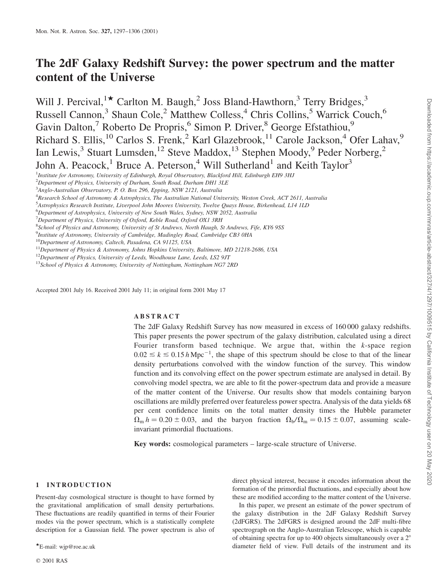# The 2dF Galaxy Redshift Survey: the power spectrum and the matter content of the Universe

Will J. Percival, <sup>1\*</sup> Carlton M. Baugh, <sup>2</sup> Joss Bland-Hawthorn, <sup>3</sup> Terry Bridges, <sup>3</sup> Russell Cannon,<sup>3</sup> Shaun Cole,<sup>2</sup> Matthew Colless,<sup>4</sup> Chris Collins,<sup>5</sup> Warrick Couch,<sup>6</sup> Gavin Dalton,<sup>7</sup> Roberto De Propris,<sup>6</sup> Simon P. Driver,<sup>8</sup> George Efstathiou,<sup>9</sup> Richard S. Ellis,<sup>10</sup> Carlos S. Frenk,<sup>2</sup> Karl Glazebrook,<sup>11</sup> Carole Jackson,<sup>4</sup> Ofer Lahav,<sup>9</sup> Ian Lewis,<sup>3</sup> Stuart Lumsden,<sup>12</sup> Steve Maddox,<sup>13</sup> Stephen Moody,<sup>9</sup> Peder Norberg,<sup>2</sup> John A. Peacock,<sup>1</sup> Bruce A. Peterson,<sup>4</sup> Will Sutherland<sup>1</sup> and Keith Taylor<sup>3</sup>

<sup>9</sup>Institute of Astronomy, University of Cambridge, Madingley Road, Cambridge CB3 0HA

Accepted 2001 July 16. Received 2001 July 11; in original form 2001 May 17

# ABSTRACT

The 2dF Galaxy Redshift Survey has now measured in excess of 160 000 galaxy redshifts. This paper presents the power spectrum of the galaxy distribution, calculated using a direct Fourier transform based technique. We argue that, within the  $k$ -space region  $0.02 \le k \le 0.15 h \text{ Mpc}^{-1}$ , the shape of this spectrum should be close to that of the linear density perturbations convolved with the window function of the survey. This window function and its convolving effect on the power spectrum estimate are analysed in detail. By convolving model spectra, we are able to fit the power-spectrum data and provide a measure of the matter content of the Universe. Our results show that models containing baryon oscillations are mildly preferred over featureless power spectra. Analysis of the data yields 68 per cent confidence limits on the total matter density times the Hubble parameter  $\Omega_{\rm m} h = 0.20 \pm 0.03$ , and the baryon fraction  $\Omega_{\rm b}/\Omega_{\rm m} = 0.15 \pm 0.07$ , assuming scaleinvariant primordial fluctuations.

Key words: cosmological parameters – large-scale structure of Universe.

# 1 INTRODUCTION

Present-day cosmological structure is thought to have formed by the gravitational amplification of small density perturbations. These fluctuations are readily quantified in terms of their Fourier modes via the power spectrum, which is a statistically complete description for a Gaussian field. The power spectrum is also of

direct physical interest, because it encodes information about the formation of the primordial fluctuations, and especially about how these are modified according to the matter content of the Universe.

In this paper, we present an estimate of the power spectrum of the galaxy distribution in the 2dF Galaxy Redshift Survey (2dFGRS). The 2dFGRS is designed around the 2dF multi-fibre spectrograph on the Anglo-Australian Telescope, which is capable of obtaining spectra for up to 400 objects simultaneously over a  $2^{\circ}$ \*E-mail: wjp@roe.ac.uk **diameter field of view. Full details of the instrument and its** diameter field of view. Full details of the instrument and its

<sup>&</sup>lt;sup>1</sup>Institute for Astronomy, University of Edinburgh, Royal Observatory, Blackford Hill, Edinburgh EH9 3HJ

<sup>&</sup>lt;sup>2</sup>Department of Physics, University of Durham, South Road, Durham DH1 3LE

<sup>&</sup>lt;sup>3</sup>Anglo-Australian Observatory, P. O. Box 296, Epping, NSW 2121, Australia

<sup>4</sup> Research School of Astronomy & Astrophysics, The Australian National University, Weston Creek, ACT 2611, Australia

<sup>5</sup> Astrophysics Research Institute, Liverpool John Moores University, Twelve Quays House, Birkenhead, L14 1LD

<sup>&</sup>lt;sup>6</sup>Department of Astrophysics, University of New South Wales, Sydney, NSW 2052, Australia

<sup>&</sup>lt;sup>7</sup>Department of Physics, University of Oxford, Keble Road, Oxford OX1 3RH

<sup>&</sup>lt;sup>8</sup>School of Physics and Astronomy, University of St Andrews, North Haugh, St Andrews, Fife, KY6 9SS

<sup>&</sup>lt;sup>10</sup>Department of Astronomy, Caltech, Pasadena, CA 91125, USA

<sup>&</sup>lt;sup>11</sup>Department of Physics & Astronomy, Johns Hopkins University, Baltimore, MD 21218-2686, USA

 $12$ Department of Physics, University of Leeds, Woodhouse Lane, Leeds, LS2 9JT

<sup>&</sup>lt;sup>13</sup>School of Physics & Astronomy, University of Nottingham, Nottingham NG7 2RD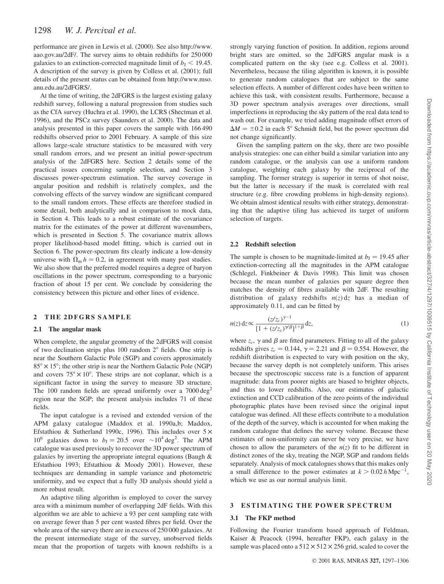performance are given in Lewis et al. (2000). See also http://www. aao.gov.au/2dF/. The survey aims to obtain redshifts for 250 000 galaxies to an extinction-corrected magnitude limit of  $b<sub>J</sub> < 19.45$ . A description of the survey is given by Colless et al. (2001); full details of the present status can be obtained from http://www.mso. anu.edu.au/2dFGRS/.

At the time of writing, the 2dFGRS is the largest existing galaxy redshift survey, following a natural progression from studies such as the CfA survey (Huchra et al. 1990), the LCRS (Shectman et al. 1996), and the PSCz survey (Saunders et al. 2000). The data and analysis presented in this paper covers the sample with 166 490 redshifts observed prior to 2001 February. A sample of this size allows large-scale structure statistics to be measured with very small random errors, and we present an initial power-spectrum analysis of the 2dFGRS here. Section 2 details some of the practical issues concerning sample selection, and Section 3 discusses power-spectrum estimation. The survey coverage in angular position and redshift is relatively complex, and the convolving effects of the survey window are significant compared to the small random errors. These effects are therefore studied in some detail, both analytically and in comparison to mock data, in Section 4. This leads to a robust estimate of the covariance matrix for the estimates of the power at different wavenumbers, which is presented in Section 5. The covariance matrix allows proper likelihood-based model fitting, which is carried out in Section 6. The power-spectrum fits clearly indicate a low-density universe with  $\Omega_m h \approx 0.2$ , in agreement with many past studies. We also show that the preferred model requires a degree of baryon oscillations in the power spectrum, corresponding to a baryonic fraction of about 15 per cent. We conclude by considering the consistency between this picture and other lines of evidence.

# 2 THE 2DFGRS SAMPLE

# 2.1 The angular mask

When complete, the angular geometry of the 2dFGRS will consist of two declination strips plus  $100$  random  $2^{\circ}$  fields. One strip is near the Southern Galactic Pole (SGP) and covers approximately  $85^\circ \times 15^\circ$ ; the other strip is near the Northern Galactic Pole (NGP) and covers  $75^{\circ} \times 10^{\circ}$ . These strips are not coplanar, which is a significant factor in using the survey to measure 3D structure. The 100 random fields are spread uniformly over a  $7000 \text{ deg}^2$ region near the SGP; the present analysis includes 71 of these fields.

The input catalogue is a revised and extended version of the APM galaxy catalogue (Maddox et al. 1990a,b; Maddox, Efstathiou & Sutherland 1990c, 1996). This includes over  $5 \times$ 10<sup>6</sup> galaxies down to  $b_J = 20.5$  over  $\sim 10^4 \text{ deg}^2$ . The APM catalogue was used previously to recover the 3D power spectrum of galaxies by inverting the appropriate integral equations (Baugh & Efstathiou 1993; Efstathiou & Moody 2001). However, these techniques are demanding in sample variance and photometric uniformity, and we expect that a fully 3D analysis should yield a more robust result.

An adaptive tiling algorithm is employed to cover the survey area with a minimum number of overlapping 2dF fields. With this algorithm we are able to achieve a 93 per cent sampling rate with on average fewer than 5 per cent wasted fibres per field. Over the whole area of the survey there are in excess of 250 000 galaxies. At the present intermediate stage of the survey, unobserved fields mean that the proportion of targets with known redshifts is a

strongly varying function of position. In addition, regions around bright stars are omitted, so the 2dFGRS angular mask is a complicated pattern on the sky (see e.g. Colless et al. 2001). Nevertheless, because the tiling algorithm is known, it is possible to generate random catalogues that are subject to the same selection effects. A number of different codes have been written to achieve this task, with consistent results. Furthermore, because a 3D power spectrum analysis averages over directions, small imperfections in reproducing the sky pattern of the real data tend to wash out. For example, we tried adding magnitude offset errors of  $\Delta M = \pm 0.2$  in each 5° Schmidt field, but the power spectrum did not change significantly.

Given the sampling pattern on the sky, there are two possible analysis strategies: one can either build a similar variation into any random catalogue, or the analysis can use a uniform random catalogue, weighting each galaxy by the reciprocal of the sampling. The former strategy is superior in terms of shot noise, but the latter is necessary if the mask is correlated with real structure (e.g. fibre crowding problems in high-density regions). We obtain almost identical results with either strategy, demonstrating that the adaptive tiling has achieved its target of uniform selection of targets.

# 2.2 Redshift selection

The sample is chosen to be magnitude-limited at  $b_1 = 19.45$  after extinction-correcting all the magnitudes in the APM catalogue (Schlegel, Finkbeiner & Davis 1998). This limit was chosen because the mean number of galaxies per square degree then matches the density of fibres available with 2dF. The resulting distribution of galaxy redshifts  $n(z)$  dz has a median of approximately 0.11, and can be fitted by

$$
n(z) dz \propto \frac{(z/z_c)^{\gamma - 1}}{[1 + (z/z_c)^{\gamma/\beta}]^{1 + \beta}} dz,
$$
 (1)

where  $z_c$ ,  $\gamma$  and  $\beta$  are fitted parameters. Fitting to all of the galaxy redshifts gives  $z_c = 0.144$ ,  $\gamma = 2.21$  and  $\beta = 0.554$ . However, the redshift distribution is expected to vary with position on the sky, because the survey depth is not completely uniform. This arises because the spectroscopic success rate is a function of apparent magnitude: data from poorer nights are biased to brighter objects, and thus to lower redshifts. Also, our estimates of galactic extinction and CCD calibration of the zero points of the individual photographic plates have been revised since the original input catalogue was defined. All these effects contribute to a modulation of the depth of the survey, which is accounted for when making the random catalogue that defines the survey volume. Because these estimates of non-uniformity can never be very precise, we have chosen to allow the parameters of the  $n(z)$  fit to be different in distinct zones of the sky, treating the NGP, SGP and random fields separately. Analysis of mock catalogues shows that this makes only a small difference to the power estimates at  $k > 0.02 h \text{ Mpc}^{-1}$ , which we use as our normal analysis limit.

# 3 ESTIMATING THE POWER SPECTRUM

#### 3.1 The FKP method

Following the Fourier transform based approach of Feldman, Kaiser & Peacock (1994, hereafter FKP), each galaxy in the sample was placed onto a  $512 \times 512 \times 256$  grid, scaled to cover the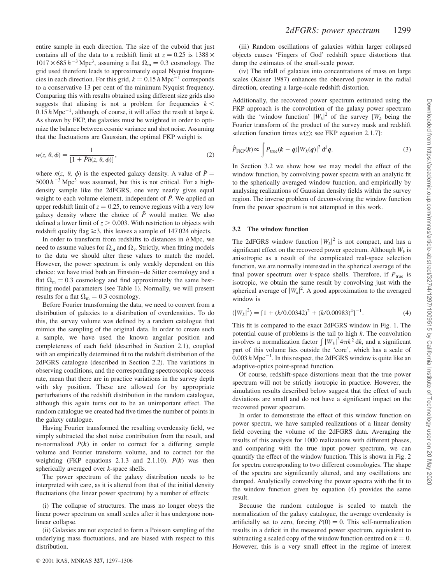entire sample in each direction. The size of the cuboid that just contains all of the data to a redshift limit at  $z = 0.25$  is 1388  $\times$  $1017 \times 685 h^{-3}$  Mpc<sup>3</sup>, assuming a flat  $\Omega_{\rm m} = 0.3$  cosmology. The grid used therefore leads to approximately equal Nyquist frequencies in each direction. For this grid,  $k = 0.15 h \text{ Mpc}^{-1}$  corresponds to a conservative 13 per cent of the minimum Nyquist frequency. Comparing this with results obtained using different size grids also suggests that aliasing is not a problem for frequencies  $k <$  $0.15 h\text{ Mpc}^{-1}$ , although, of course, it will affect the result at large k. As shown by FKP, the galaxies must be weighted in order to optimize the balance between cosmic variance and shot noise. Assuming that the fluctuations are Gaussian, the optimal FKP weight is

$$
w(z, \theta, \phi) = \frac{1}{\left[1 + \bar{P}\bar{n}(z, \theta, \phi)\right]},
$$
\n(2)

where  $\bar{n}(z, \theta, \phi)$  is the expected galaxy density. A value of  $\bar{P} =$  $5000 h^{-3}$  Mpc<sup>3</sup> was assumed, but this is not critical. For a highdensity sample like the 2dFGRS, one very nearly gives equal weight to each volume element, independent of  $\bar{P}$ . We applied an upper redshift limit of  $z = 0.25$ , to remove regions with a very low galaxy density where the choice of  $\bar{P}$  would matter. We also defined a lower limit of  $z > 0.003$ . With restriction to objects with redshift quality flag  $\geq$ 3, this leaves a sample of 147024 objects.

In order to transform from redshifts to distances in  $h$  Mpc, we need to assume values for  $\Omega_{\rm m}$  and  $\Omega_{\rm v}$ . Strictly, when fitting models to the data we should alter these values to match the model. However, the power spectrum is only weakly dependent on this choice: we have tried both an Einstein–de Sitter cosmology and a flat  $\Omega_{\rm m} = 0.3$  cosmology and find approximately the same bestfitting model parameters (see Table 1). Normally, we will present results for a flat  $\Omega_m = 0.3$  cosmology.

Before Fourier transforming the data, we need to convert from a distribution of galaxies to a distribution of overdensities. To do this, the survey volume was defined by a random catalogue that mimics the sampling of the original data. In order to create such a sample, we have used the known angular position and completeness of each field (described in Section 2.1), coupled with an empirically determined fit to the redshift distribution of the 2dFGRS catalogue (described in Section 2.2). The variations in observing conditions, and the corresponding spectroscopic success rate, mean that there are in practice variations in the survey depth with sky position. These are allowed for by appropriate perturbations of the redshift distribution in the random catalogue, although this again turns out to be an unimportant effect. The random catalogue we created had five times the number of points in the galaxy catalogue.

Having Fourier transformed the resulting overdensity field, we simply subtracted the shot noise contribution from the result, and re-normalized  $P(k)$  in order to correct for a differing sample volume and Fourier transform volume, and to correct for the weighting (FKP equations 2.1.3 and 2.1.10).  $P(k)$  was then spherically averaged over k-space shells.

The power spectrum of the galaxy distribution needs to be interpreted with care, as it is altered from that of the initial density fluctuations (the linear power spectrum) by a number of effects:

(i) The collapse of structures. The mass no longer obeys the linear power spectrum on small scales after it has undergone nonlinear collapse.

(ii) Galaxies are not expected to form a Poisson sampling of the underlying mass fluctuations, and are biased with respect to this distribution.

(iii) Random oscillations of galaxies within larger collapsed objects causes 'Fingers of God' redshift space distortions that damp the estimates of the small-scale power.

(iv) The infall of galaxies into concentrations of mass on large scales (Kaiser 1987) enhances the observed power in the radial direction, creating a large-scale redshift distortion.

Additionally, the recovered power spectrum estimated using the FKP approach is the convolution of the galaxy power spectrum with the 'window function'  $|W_k|^2$  of the survey  $[W_k]$  being the Fourier transform of the product of the survey mask and redshift selection function times  $w(z)$ ; see FKP equation 2.1.7]:

$$
\hat{P}_{\text{FKP}}(k) \propto \int P_{\text{true}}(k-q)|W_k(q)|^2 d^3q.
$$
\n(3)

In Section 3.2 we show how we may model the effect of the window function, by convolving power spectra with an analytic fit to the spherically averaged window function, and empirically by analysing realizations of Gaussian density fields within the survey region. The inverse problem of deconvolving the window function from the power spectrum is not attempted in this work.

#### 3.2 The window function

The 2dFGRS window function  $|W_k|^2$  is not compact, and has a significant effect on the recovered power spectrum. Although  $W_k$  is anisotropic as a result of the complicated real-space selection function, we are normally interested in the spherical average of the final power spectrum over k-space shells. Therefore, if  $P_{true}$  is isotropic, we obtain the same result by convolving just with the spherical average of  $|W_k|^2$ . A good approximation to the averaged window is

$$
\langle |W_k|^2 \rangle = [1 + (k/0.00342)^2 + (k/0.00983)^4]^{-1}.
$$
 (4)

This fit is compared to the exact 2dFGRS window in Fig. 1. The potential cause of problems is the tail to high  $k$ . The convolution involves a normalization factor  $\int |W_k|^2 4\pi k^2 dk$ , and a significant part of this volume lies outside the 'core', which has a scale of  $0.003 h$  Mpc<sup>-1</sup>. In this respect, the 2dFGRS window is quite like an adaptive-optics point-spread function.

Of course, redshift-space distortions mean that the true power spectrum will not be strictly isotropic in practice. However, the simulation results described below suggest that the effect of such deviations are small and do not have a significant impact on the recovered power spectrum.

In order to demonstrate the effect of this window function on power spectra, we have sampled realizations of a linear density field covering the volume of the 2dFGRS data. Averaging the results of this analysis for 1000 realizations with different phases, and comparing with the true input power spectrum, we can quantify the effect of the window function. This is shown in Fig. 2 for spectra corresponding to two different cosmologies. The shape of the spectra are significantly altered, and any oscillations are damped. Analytically convolving the power spectra with the fit to the window function given by equation (4) provides the same result.

Because the random catalogue is scaled to match the normalization of the galaxy catalogue, the average overdensity is artificially set to zero, forcing  $P(0) = 0$ . This self-normalization results in a deficit in the measured power spectrum, equivalent to subtracting a scaled copy of the window function centred on  $k = 0$ . However, this is a very small effect in the regime of interest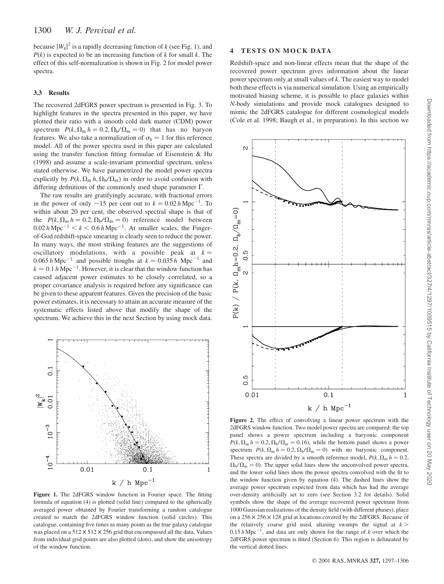because  $|W_k|^2$  is a rapidly decreasing function of k (see Fig. 1), and  $P(k)$  is expected to be an increasing function of k for small k. The effect of this self-normalization is shown in Fig. 2 for model power spectra.

## 3.3 Results

The recovered 2dFGRS power spectrum is presented in Fig. 3. To highlight features in the spectra presented in this paper, we have plotted their ratio with a smooth cold dark matter (CDM) power spectrum  $P(k, \Omega_m h = 0.2, \Omega_b / \Omega_m = 0)$  that has no baryon features. We also take a normalization of  $\sigma_8 = 1$  for this reference model. All of the power spectra used in this paper are calculated using the transfer function fitting formulae of Eisenstein & Hu (1998) and assume a scale-invariant primordial spectrum, unless stated otherwise. We have parametrized the model power spectra explicitly by  $P(k, \Omega_m h, \Omega_b/\Omega_m)$  in order to avoid confusion with differing definitions of the commonly used shape parameter  $\Gamma$ .

The raw results are gratifyingly accurate, with fractional errors in the power of only  $\sim$ 15 per cent out to  $k = 0.02 h \text{ Mpc}^{-1}$ . To within about 20 per cent, the observed spectral shape is that of the  $P(k, \Omega_m h = 0.2, \Omega_b / \Omega_m = 0)$  reference model between  $0.02 h \text{ Mpc}^{-1}$  <  $k$  < 0.6 h Mpc<sup>-1</sup>. At smaller scales, the Fingerof-God redshift-space smearing is clearly seen to reduce the power. In many ways, the most striking features are the suggestions of oscillatory modulations, with a possible peak at  $k \approx$  $0.065 h \text{ Mpc}^{-1}$  and possible troughs at  $k \approx 0.035 h \text{ Mpc}^{-1}$  and  $k \approx 0.1 \, h \, \text{Mpc}^{-1}$ . However, it is clear that the window function has caused adjacent power estimates to be closely correlated, so a proper covariance analysis is required before any significance can be given to these apparent features. Given the precision of the basic power estimates, it is necessary to attain an accurate measure of the systematic effects listed above that modify the shape of the spectrum. We achieve this in the next Section by using mock data.



Figure 1. The 2dFGRS window function in Fourier space. The fitting formula of equation (4) is plotted (solid line) compared to the spherically averaged power obtained by Fourier transforming a random catalogue created to match the 2dFGRS window function (solid circles). This catalogue, containing five times as many points as the true galaxy catalogue was placed on a  $512 \times 512 \times 256$  grid that encompassed all the data. Values from individual grid points are also plotted (dots), and show the anisotropy of the window function.

# 4 TESTS ON MOCK DATA

Redshift-space and non-linear effects mean that the shape of the recovered power spectrum gives information about the linear power spectrum only at small values of k. The easiest way to model both these effects is via numerical simulation. Using an empirically motivated biasing scheme, it is possible to place galaxies within N-body simulations and provide mock catalogues designed to mimic the 2dFGRS catalogue for different cosmological models (Cole et al. 1998; Baugh et al., in preparation). In this section we



Figure 2. The effect of convolving a linear power spectrum with the 2dFGRS window function. Two model power spectra are compared: the top panel shows a power spectrum including a baryonic component  $P(k, \Omega_{\rm m} h = 0.2, \Omega_{\rm b}/\Omega_{\rm m} = 0.16)$ , while the bottom panel shows a power spectrum  $P(k, \Omega_{\rm m} h = 0.2, \Omega_{\rm b}/\Omega_{\rm m} = 0)$  with no baryonic component. These spectra are divided by a smooth reference model,  $P(k, \Omega_m h = 0.2$ ,  $\Omega_{\rm b}/\Omega_{\rm m} = 0$ ). The upper solid lines show the unconvolved power spectra, and the lower solid lines show the power spectra convolved with the fit to the window function given by equation (4). The dashed lines show the average power spectrum expected from data which has had the average over-density artificially set to zero (see Section 3.2 for details). Solid symbols show the shape of the average recovered power spectrum from 1000 Gaussian realizations of the density field (with different phases), place on a  $256 \times 256 \times 128$  grid at locations covered by the 2dFGRS. Because of the relatively coarse grid used, aliasing swamps the signal at  $k$  >  $0.15 h\,\text{Mpc}^{-1}$ , and data are only shown for the range of k over which the 2dFGRS power spectrum is fitted (Section 6). This region is delineated by the vertical dotted lines.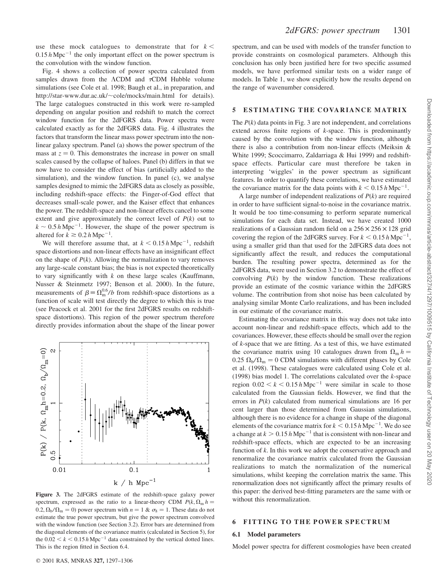use these mock catalogues to demonstrate that for  $k <$  $0.15 h \text{ Mpc}^{-1}$  the only important effect on the power spectrum is the convolution with the window function.

Fig. 4 shows a collection of power spectra calculated from samples drawn from the  $\Lambda$ CDM and  $\tau$ CDM Hubble volume simulations (see Cole et al. 1998; Baugh et al., in preparation, and http://star-www.dur.ac.uk/~cole/mocks/main.html for details). The large catalogues constructed in this work were re-sampled depending on angular position and redshift to match the correct window function for the 2dFGRS data. Power spectra were calculated exactly as for the 2dFGRS data. Fig. 4 illustrates the factors that transform the linear mass power spectrum into the nonlinear galaxy spectrum. Panel (a) shows the power spectrum of the mass at  $z = 0$ . This demonstrates the increase in power on small scales caused by the collapse of haloes. Panel (b) differs in that we now have to consider the effect of bias (artificially added to the simulation), and the window function. In panel (c), we analyse samples designed to mimic the 2dFGRS data as closely as possible, including redshift-space effects: the Finger-of-God effect that decreases small-scale power, and the Kaiser effect that enhances the power. The redshift-space and non-linear effects cancel to some extent and give approximately the correct level of  $P(k)$  out to  $k \sim 0.5 h \,\text{Mpc}^{-1}$ . However, the shape of the power spectrum is altered for  $k \geq 0.2 h \, \text{Mpc}^{-1}$ .

We will therefore assume that, at  $k \leq 0.15 h \text{ Mpc}^{-1}$ , redshift space distortions and non-linear effects have an insignificant effect on the shape of  $P(k)$ . Allowing the normalization to vary removes any large-scale constant bias; the bias is not expected theoretically to vary significantly with  $k$  on these large scales (Kauffmann, Nusser & Steinmetz 1997; Benson et al. 2000). In the future, measurements of  $\beta = \Omega_{\rm m}^{0.6}/b$  from redshift-space distortions as a function of scale will test directly the degree to which this is true (see Peacock et al. 2001 for the first 2dFGRS results on redshiftspace distortions). This region of the power spectrum therefore directly provides information about the shape of the linear power



Figure 3. The 2dFGRS estimate of the redshift-space galaxy power spectrum, expressed as the ratio to a linear-theory CDM  $P(k, \Omega_m h =$  $0.2, \Omega_{\rm b}/\Omega_{\rm m} = 0$ ) power spectrum with  $n = 1$  &  $\sigma_8 = 1$ . These data do not estimate the true power spectrum, but give the power spectrum convolved with the window function (see Section 3.2). Error bars are determined from the diagonal elements of the covariance matrix (calculated in Section 5), for the  $0.02 < k < 0.15 h \text{ Mpc}^{-1}$  data constrained by the vertical dotted lines. This is the region fitted in Section 6.4.

spectrum, and can be used with models of the transfer function to provide constraints on cosmological parameters. Although this conclusion has only been justified here for two specific assumed models, we have performed similar tests on a wider range of models. In Table 1, we show explicitly how the results depend on the range of wavenumber considered.

# 5 ESTIMATING THE COVARIANCE MATRIX

The  $P(k)$  data points in Fig. 3 are not independent, and correlations extend across finite regions of  $k$ -space. This is predominantly caused by the convolution with the window function, although there is also a contribution from non-linear effects (Meiksin & White 1999; Scoccimarro, Zaldarriaga & Hui 1999) and redshiftspace effects. Particular care must therefore be taken in interpreting 'wiggles' in the power spectrum as significant features. In order to quantify these correlations, we have estimated the covariance matrix for the data points with  $k < 0.15 h \text{ Mpc}^{-1}$ .

A large number of independent realizations of  $P(k)$  are required in order to have sufficient signal-to-noise in the covariance matrix. It would be too time-consuming to perform separate numerical simulations for each data set. Instead, we have created 1000 realizations of a Gaussian random field on a  $256 \times 256 \times 128$  grid covering the region of the 2dFGRS survey. For  $k \le 0.15$  h Mpc<sup>-1</sup>, using a smaller grid than that used for the 2dFGRS data does not significantly affect the result, and reduces the computational burden. The resulting power spectra, determined as for the 2dFGRS data, were used in Section 3.2 to demonstrate the effect of convolving  $P(k)$  by the window function. These realizations provide an estimate of the cosmic variance within the 2dFGRS volume. The contribution from shot noise has been calculated by analysing similar Monte Carlo realizations, and has been included in our estimate of the covariance matrix.

Estimating the covariance matrix in this way does not take into account non-linear and redshift-space effects, which add to the covariances. However, these effects should be small over the region of k-space that we are fitting. As a test of this, we have estimated the covariance matrix using 10 catalogues drawn from  $\Omega_m h =$  $0.25 \Omega_{\rm b}/\Omega_{\rm m} = 0$  CDM simulations with different phases by Cole et al. (1998). These catalogues were calculated using Cole et al. (1998) bias model 1. The correlations calculated over the  $k$ -space region  $0.02 < k < 0.15 h \text{ Mpc}^{-1}$  were similar in scale to those calculated from the Gaussian fields. However, we find that the errors in  $P(k)$  calculated from numerical simulations are 16 per cent larger than those determined from Gaussian simulations, although there is no evidence for a change in shape of the diagonal elements of the covariance matrix for  $k < 0.15$  h Mpc<sup>-1</sup>. We do see a change at  $k > 0.15 h \text{ Mpc}^{-1}$  that is consistent with non-linear and redshift-space effects, which are expected to be an increasing function of  $k$ . In this work we adopt the conservative approach and renormalize the covariance matrix calculated from the Gaussian realizations to match the normalization of the numerical simulations, whilst keeping the correlation matrix the same. This renormalization does not significantly affect the primary results of this paper: the derived best-fitting parameters are the same with or without this renormalization.

# 6 FITTING TO THE POWER SPECTRUM

#### 6.1 Model parameters

Model power spectra for different cosmologies have been created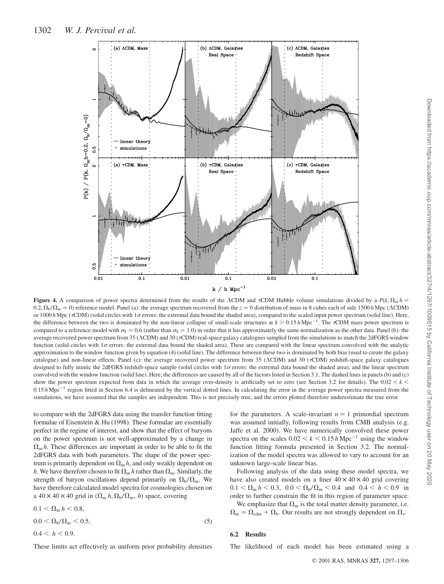

**Figure 4.** A comparison of power spectra determined from the results of the ACDM and  $\tau$ CDM Hubble volume simulations divided by a  $P(k, \Omega_m h$  =  $0.2$ ;  $\Omega_p/\Omega_m = 0$ ) reference model. Panel (a): the average spectrum recovered from the  $z = 0$  distribution of mass in 8 cubes each of side 1500 h Mpc (ACDM) or 1000 h Mpc ( $\tau$ CDM) (solid circles with 1 $\sigma$  errors: the extremal data bound the shaded area), compared to the scaled input power spectrum (solid line). Here, the difference between the two is dominated by the non-linear collapse of small-scale structures at  $k > 0.15$  h Mpc<sup>-1</sup>. The  $\tau$ CDM mass power spectrum is compared to a reference model with  $\sigma_8 = 0.6$  (rather than  $\sigma_8 = 1.0$ ) in order that it has approximately the same normalization as the other data. Panel (b): the average recovered power spectrum from 35 (ACDM) and 30 ( $\tau$ CDM) real-space galaxy catalogues sampled from the simulations to match the 2dFGRS window function (solid circles with  $1\sigma$  errors: the extremal data bound the shaded area). These are compared with the linear spectrum convolved with the analytic approximation to the window function given by equation (4) (solid line). The difference between these two is dominated by both bias (used to create the galaxy catalogue) and non-linear effects. Panel (c): the average recovered power spectrum from 35 ( $\Lambda$ CDM) and 30 ( $\tau$ CDM) redshift-space galaxy catalogues designed to fully mimic the 2dFGRS redshift-space sample (solid circles with  $1\sigma$  errors: the extremal data bound the shaded area), and the linear spectrum convolved with the window function (solid line). Here, the differences are caused by all of the factors listed in Section 3.1. The dashed lines in panels (b) and (c) show the power spectrum expected from data in which the average over-density is artificially set to zero (see Section 3.2 for details). The  $0.02 < k <$  $0.15 h\text{Mpc}^{-1}$  region fitted in Section 6.4 is delineated by the vertical dotted lines. In calculating the error in the average power spectra measured from the simulations, we have assumed that the samples are independent. This is not precisely true, and the errors plotted therefore underestimate the true error.

to compare with the 2dFGRS data using the transfer function fitting formulae of Eisenstein & Hu (1998). These formulae are essentially perfect in the regime of interest, and show that the effect of baryons on the power spectrum is not well-approximated by a change in  $\Omega_{\rm m} h$ . These differences are important in order to be able to fit the 2dFGRS data with both parameters. The shape of the power spectrum is primarily dependent on  $\Omega_{\rm m} h$ , and only weakly dependent on h. We have therefore chosen to fit  $\Omega_{\rm m}$  h rather than  $\Omega_{\rm m}$ . Similarly, the strength of baryon oscillations depend primarily on  $\Omega_{\rm b}/\Omega_{\rm m}$ . We have therefore calculated model spectra for cosmologies chosen on a  $40 \times 40 \times 40$  grid in  $(\Omega_m h, \Omega_b / \Omega_m, h)$  space, covering

 $0.1 < \Omega_{\rm m} h < 0.8$ ,

 $0.0 < \Omega_{\rm b}/\Omega_{\rm m} < 0.5,$  (5)

$$
0.4 < h < 0.9.
$$

These limits act effectively as uniform prior probability densities

for the parameters. A scale-invariant  $n = 1$  primordial spectrum was assumed initially, following results from CMB analysis (e.g. Jaffe et al. 2000). We have numerically convolved these power spectra on the scales  $0.02 < k < 0.15 h \,\text{Mpc}^{-1}$  using the window function fitting formula presented in Section 3.2. The normalization of the model spectra was allowed to vary to account for an unknown large-scale linear bias.

Following analysis of the data using these model spectra, we have also created models on a finer  $40 \times 40 \times 40$  grid covering  $0.1 < \Omega_{\rm m} h < 0.3$ ,  $0.0 < \Omega_{\rm b} / \Omega_{\rm m} < 0.4$  and  $0.4 < h < 0.9$  in order to further constrain the fit in this region of parameter space.

We emphasize that  $\Omega_{\rm m}$  is the total matter density parameter, i.e.  $\Omega_{\rm m} = \Omega_{\rm cdm} + \Omega_{\rm b}$ . Our results are not strongly dependent on  $\Omega_{\rm v}$ .

## 6.2 Results

The likelihood of each model has been estimated using a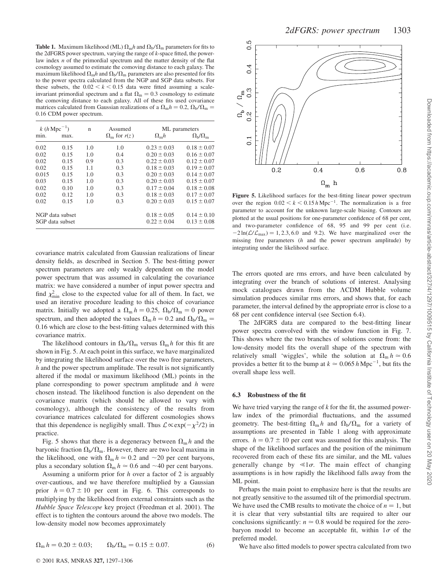**Table 1.** Maximum likelihood (ML)  $\Omega_m h$  and  $\Omega_b/\Omega_m$  parameters for fits to the 2dFGRS power spectrum, varying the range of k-space fitted, the powerlaw index  $n$  of the primordial spectrum and the matter density of the flat cosmology assumed to estimate the comoving distance to each galaxy. The maximum likelihood  $\Omega_m h$  and  $\Omega_b/\Omega_m$  parameters are also presented for fits to the power spectra calculated from the NGP and SGP data subsets. For these subsets, the  $0.02 \le k \le 0.15$  data were fitted assuming a scaleinvariant primordial spectrum and a flat  $\Omega_{\rm m} = 0.3$  cosmology to estimate the comoving distance to each galaxy. All of these fits used covariance matrices calculated from Gaussian realizations of a  $\Omega_{\rm m}h = 0.2$ ,  $\Omega_{\rm b}/\Omega_{\rm m} =$ 0:16 CDM power spectrum.

| $k(h\text{ Mpc}^{-1})$ |                 | n   | Assumed                     | ML parameters     |                                 |
|------------------------|-----------------|-----|-----------------------------|-------------------|---------------------------------|
| min.                   | max.            |     | $\Omega_{\rm m}$ for $r(z)$ | $\Omega_{\rm m}h$ | $\Omega_{\rm b}/\Omega_{\rm m}$ |
| 0.02                   | 0.15            | 1.0 | 1.0                         | $0.23 \pm 0.03$   | $0.18 \pm 0.07$                 |
| 0.02                   | 0.15            | 1.0 | 0.4                         | $0.20 \pm 0.03$   | $0.16 \pm 0.07$                 |
| 0.02                   | 0.15            | 0.9 | 0.3                         | $0.22 \pm 0.03$   | $0.12 \pm 0.07$                 |
| 0.02                   | 0.15            | 1.1 | 0.3                         | $0.18 \pm 0.03$   | $0.19 \pm 0.07$                 |
| 0.015                  | 0.15            | 1.0 | 0.3                         | $0.20 \pm 0.03$   | $0.14 \pm 0.07$                 |
| 0.03                   | 0.15            | 1.0 | 0.3                         | $0.20 \pm 0.03$   | $0.15 \pm 0.07$                 |
| 0.02                   | 0.10            | 1.0 | 0.3                         | $0.17 \pm 0.04$   | $0.18 \pm 0.08$                 |
| 0.02                   | 0.12            | 1.0 | 0.3                         | $0.18 \pm 0.03$   | $0.17 \pm 0.07$                 |
| 0.02                   | 0.15            | 1.0 | 0.3                         | $0.20 \pm 0.03$   | $0.15 \pm 0.07$                 |
| NGP data subset        |                 |     |                             | $0.18 \pm 0.05$   | $0.14 \pm 0.10$                 |
|                        | SGP data subset |     |                             | $0.22 \pm 0.04$   | $0.13 \pm 0.08$                 |
|                        |                 |     |                             |                   |                                 |

covariance matrix calculated from Gaussian realizations of linear density fields, as described in Section 5. The best-fitting power spectrum parameters are only weakly dependent on the model power spectrum that was assumed in calculating the covariance matrix: we have considered a number of input power spectra and find  $\chi^2_{\text{min}}$  close to the expected value for all of them. In fact, we used an iterative procedure leading to this choice of covariance matrix. Initially we adopted a  $\Omega_{\rm m} h = 0.25$ ,  $\Omega_{\rm b}/\Omega_{\rm m} = 0$  power spectrum, and then adopted the values  $\Omega_m h = 0.2$  and  $\Omega_b/\Omega_m =$ 0:16 which are close to the best-fitting values determined with this covariance matrix.

The likelihood contours in  $\Omega_{\rm b}/\Omega_{\rm m}$  versus  $\Omega_{\rm m} h$  for this fit are shown in Fig. 5. At each point in this surface, we have marginalized by integrating the likelihood surface over the two free parameters,  $h$  and the power spectrum amplitude. The result is not significantly altered if the modal or maximum likelihood (ML) points in the plane corresponding to power spectrum amplitude and  $h$  were chosen instead. The likelihood function is also dependent on the covariance matrix (which should be allowed to vary with cosmology), although the consistency of the results from covariance matrices calculated for different cosmologies shows that this dependence is negligibly small. Thus  $\mathcal{L} \propto \exp(-\chi^2/2)$  in practice.

Fig. 5 shows that there is a degeneracy between  $\Omega_{\rm m} h$  and the baryonic fraction  $\Omega_{\rm b}/\Omega_{\rm m}$ . However, there are two local maxima in the likelihood, one with  $\Omega_m h \approx 0.2$  and  $\sim 20$  per cent baryons, plus a secondary solution  $\Omega_m h \approx 0.6$  and  $\sim 40$  per cent baryons.

Assuming a uniform prior for  $h$  over a factor of 2 is arguably over-cautious, and we have therefore multiplied by a Gaussian prior  $h = 0.7 \pm 10$  per cent in Fig. 6. This corresponds to multiplying by the likelihood from external constraints such as the Hubble Space Telescope key project (Freedman et al. 2001). The effect is to tighten the contours around the above two models. The low-density model now becomes approximately

$$
\Omega_{\rm m} h = 0.20 \pm 0.03; \qquad \Omega_{\rm b} / \Omega_{\rm m} = 0.15 \pm 0.07. \tag{6}
$$



Figure 5. Likelihood surfaces for the best-fitting linear power spectrum over the region  $0.02 < k < 0.15 h \text{ Mpc}^{-1}$ . The normalization is a free parameter to account for the unknown large-scale biasing. Contours are plotted at the usual positions for one-parameter confidence of 68 per cent, and two-parameter confidence of 68, 95 and 99 per cent (i.e.  $-2 \ln(\mathcal{L}/\mathcal{L}_{\text{max}}) = 1, 2.3, 6.0$  and 9.2). We have marginalized over the missing free parameters  $(h$  and the power spectrum amplitude) by integrating under the likelihood surface.

The errors quoted are rms errors, and have been calculated by integrating over the branch of solutions of interest. Analysing mock catalogues drawn from the ACDM Hubble volume simulation produces similar rms errors, and shows that, for each parameter, the interval defined by the appropriate error is close to a 68 per cent confidence interval (see Section 6.4).

The 2dFGRS data are compared to the best-fitting linear power spectra convolved with the window function in Fig. 7. This shows where the two branches of solutions come from: the low-density model fits the overall shape of the spectrum with relatively small 'wiggles', while the solution at  $\Omega_m h \approx 0.6$ provides a better fit to the bump at  $k \approx 0.065 h \,\mathrm{Mpc}^{-1}$ , but fits the overall shape less well.

# 6.3 Robustness of the fit

We have tried varying the range of  $k$  for the fit, the assumed powerlaw index of the primordial fluctuations, and the assumed geometry. The best-fitting  $\Omega_{\rm m} h$  and  $\Omega_{\rm b}/\Omega_{\rm m}$  for a variety of assumptions are presented in Table 1 along with approximate errors.  $h = 0.7 \pm 10$  per cent was assumed for this analysis. The shape of the likelihood surfaces and the position of the minimum recovered from each of these fits are similar, and the ML values generally change by  $\leq 1\sigma$ . The main effect of changing assumptions is in how rapidly the likelihood falls away from the ML point.

Perhaps the main point to emphasize here is that the results are not greatly sensitive to the assumed tilt of the primordial spectrum. We have used the CMB results to motivate the choice of  $n = 1$ , but it is clear that very substantial tilts are required to alter our conclusions significantly:  $n \approx 0.8$  would be required for the zerobaryon model to become an acceptable fit, within  $1\sigma$  of the preferred model.

We have also fitted models to power spectra calculated from two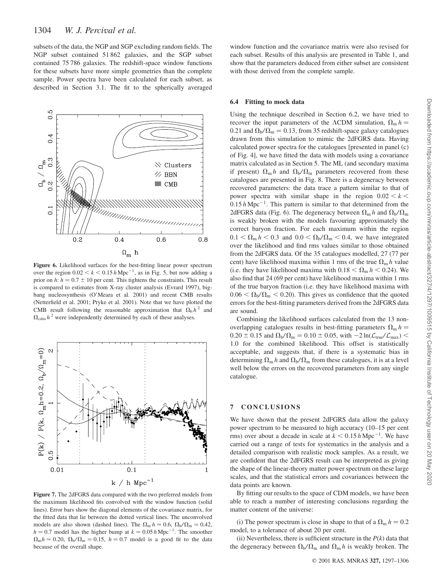subsets of the data, the NGP and SGP excluding random fields. The NGP subset contained 51 862 galaxies, and the SGP subset contained 75 786 galaxies. The redshift-space window functions for these subsets have more simple geometries than the complete sample. Power spectra have been calculated for each subset, as described in Section 3.1. The fit to the spherically averaged



Figure 6. Likelihood surfaces for the best-fitting linear power spectrum over the region  $0.02 < k < 0.15 h \,\text{Mpc}^{-1}$ , as in Fig. 5, but now adding a prior on h:  $h = 0.7 \pm 10$  per cent. This tightens the constraints. This result is compared to estimates from X-ray cluster analysis (Evrard 1997), bigbang nucleosynthesis (O'Meara et al. 2001) and recent CMB results (Netterfield et al. 2001; Pryke et al. 2001). Note that we have plotted the CMB result following the reasonable approximation that  $\Omega_h h^2$  and  $\Omega_{\text{cdm}} h^2$  were independently determined by each of these analyses.



Figure 7. The 2dFGRS data compared with the two preferred models from the maximum likelihood fits convolved with the window function (solid lines). Error bars show the diagonal elements of the covariance matrix, for the fitted data that lie between the dotted vertical lines. The unconvolved models are also shown (dashed lines). The  $\Omega_{\rm m} h \approx 0.6$ ,  $\Omega_{\rm b}/\Omega_{\rm m} = 0.42$ ,  $h = 0.7$  model has the higher bump at  $k \approx 0.05 h \text{ Mpc}^{-1}$ . The smoother  $\Omega_{\rm m}h \simeq 0.20$ ,  $\Omega_{\rm b}/\Omega_{\rm m} = 0.15$ ,  $h = 0.7$  model is a good fit to the data because of the overall shape.

window function and the covariance matrix were also revised for each subset. Results of this analysis are presented in Table 1, and show that the parameters deduced from either subset are consistent with those derived from the complete sample.

#### 6.4 Fitting to mock data

Using the technique described in Section 6.2, we have tried to recover the input parameters of the  $\Lambda$ CDM simulation,  $\Omega_m h =$ 0.21 and  $\Omega_{\rm b}/\Omega_{\rm m} = 0.13$ , from 35 redshift-space galaxy catalogues drawn from this simulation to mimic the 2dFGRS data. Having calculated power spectra for the catalogues [presented in panel (c) of Fig. 4], we have fitted the data with models using a covariance matrix calculated as in Section 5. The ML (and secondary maxima if present)  $\Omega_{\rm m} h$  and  $\Omega_{\rm b}/\Omega_{\rm m}$  parameters recovered from these catalogues are presented in Fig. 8. There is a degeneracy between recovered parameters: the data trace a pattern similar to that of power spectra with similar shape in the region  $0.02 < k <$  $0.15 h \text{ Mpc}^{-1}$ . This pattern is similar to that determined from the 2dFGRS data (Fig. 6). The degeneracy between  $\Omega_{\rm m} h$  and  $\Omega_{\rm b}/\Omega_{\rm m}$ is weakly broken with the models favouring approximately the correct baryon fraction. For each maximum within the region  $0.1 < \Omega_{\rm m} h < 0.3$  and  $0.0 < \Omega_{\rm b}/\Omega_{\rm m} < 0.4$ , we have integrated over the likelihood and find rms values similar to those obtained from the 2dFGRS data. Of the 35 catalogues modelled, 27 (77 per cent) have likelihood maxima within 1 rms of the true  $\Omega_m h$  value (i.e. they have likelihood maxima with  $0.18 < \Omega_{\rm m} h < 0.24$ ). We also find that 24 (69 per cent) have likelihood maxima within 1 rms of the true baryon fraction (i.e. they have likelihood maxima with  $0.06 < \Omega_{\rm b}/\Omega_{\rm m} < 0.20$ ). This gives us confidence that the quoted errors for the best-fitting parameters derived from the 2dFGRS data are sound.

Combining the likelihood surfaces calculated from the 13 nonoverlapping catalogues results in best-fitting parameters  $\Omega_{\rm m} h =$  $0.20 \pm 0.15$  and  $\Omega_{\rm b}/\Omega_{\rm m} = 0.10 \pm 0.05$ , with  $-2 \ln(\mathcal{L}_{\rm true}/\mathcal{L}_{\rm max})$  < 1:0 for the combined likelihood. This offset is statistically acceptable, and suggests that, if there is a systematic bias in determining  $\Omega_{\rm m} h$  and  $\Omega_{\rm b}/\Omega_{\rm m}$  from these catalogues, it is at a level well below the errors on the recovered parameters from any single catalogue.

# 7 CONCLUSIONS

We have shown that the present 2dFGRS data allow the galaxy power spectrum to be measured to high accuracy  $(10-15$  per cent rms) over about a decade in scale at  $k < 0.15 h \text{ Mpc}^{-1}$ . We have carried out a range of tests for systematics in the analysis and a detailed comparison with realistic mock samples. As a result, we are confident that the 2dFGRS result can be interpreted as giving the shape of the linear-theory matter power spectrum on these large scales, and that the statistical errors and covariances between the data points are known.

By fitting our results to the space of CDM models, we have been able to reach a number of interesting conclusions regarding the matter content of the universe:

(i) The power spectrum is close in shape to that of a  $\Omega_{\rm m} h = 0.2$ model, to a tolerance of about 20 per cent.

(ii) Nevertheless, there is sufficient structure in the  $P(k)$  data that the degeneracy between  $\Omega_{\rm b}/\Omega_{\rm m}$  and  $\Omega_{\rm m} h$  is weakly broken. The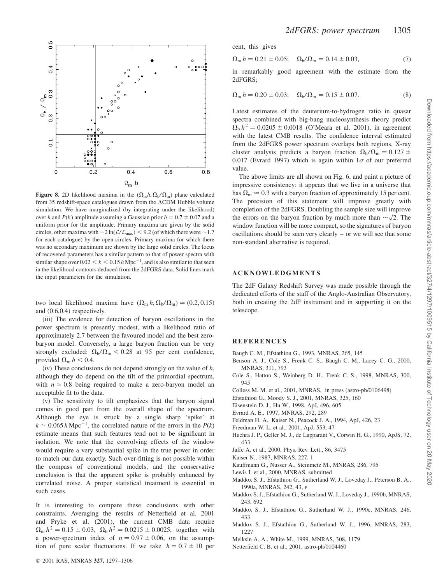

Figure 8. 2D likelihood maxima in the  $(\Omega_m h, \Omega_b/\Omega_m)$  plane calculated from 35 redshift-space catalogues drawn from the  $\Lambda$ CDM Hubble volume simulation. We have marginalized (by integrating under the likelihood) over h and  $P(k)$  amplitude assuming a Gaussian prior  $h = 0.7 \pm 0.07$  and a uniform prior for the amplitude. Primary maxima are given by the solid circles, other maxima with  $-2 \ln(L/L_{\text{max}}) < 9.2$  (of which there were  $\sim$ 1.7) for each catalogue) by the open circles. Primary maxima for which there was no secondary maximum are shown by the large solid circles. The locus of recovered parameters has a similar pattern to that of power spectra with similar shape over  $0.02 < k < 0.15 h \text{ Mpc}^{-1}$ , and is also similar to that seen in the likelihood contours deduced from the 2dFGRS data. Solid lines mark the input parameters for the simulation.

two local likelihood maxima have  $(\Omega_m h, \Omega_b / \Omega_m) \approx (0.2, 0.15)$ and (0.6,0.4) respectively.

(iii) The evidence for detection of baryon oscillations in the power spectrum is presently modest, with a likelihood ratio of approximately 2.7 between the favoured model and the best zerobaryon model. Conversely, a large baryon fraction can be very strongly excluded:  $\Omega_{\rm b}/\Omega_{\rm m}$  < 0.28 at 95 per cent confidence, provided  $\Omega_m h < 0.4$ .

(iv) These conclusions do not depend strongly on the value of  $h$ , although they do depend on the tilt of the primordial spectrum, with  $n \approx 0.8$  being required to make a zero-baryon model an acceptable fit to the data.

(v) The sensitivity to tilt emphasizes that the baryon signal comes in good part from the overall shape of the spectrum. Although the eye is struck by a single sharp 'spike' at  $k \approx 0.065 \, h \, \text{Mpc}^{-1}$ , the correlated nature of the errors in the  $P(k)$ estimate means that such features tend not to be significant in isolation. We note that the convolving effects of the window would require a very substantial spike in the true power in order to match our data exactly. Such over-fitting is not possible within the compass of conventional models, and the conservative conclusion is that the apparent spike is probably enhanced by correlated noise. A proper statistical treatment is essential in such cases.

It is interesting to compare these conclusions with other constraints. Averaging the results of Netterfield et al. 2001 and Pryke et al. (2001), the current CMB data require  $\Omega_{\rm m} h^2 = 0.15 \pm 0.03$ ,  $\Omega_{\rm b} h^2 = 0.0215 \pm 0.0025$ , together with a power-spectrum index of  $n = 0.97 \pm 0.06$ , on the assumption of pure scalar fluctuations. If we take  $h = 0.7 \pm 10$  per cent, this gives

$$
\Omega_{\rm m} h = 0.21 \pm 0.05; \quad \Omega_{\rm b} / \Omega_{\rm m} = 0.14 \pm 0.03, \tag{7}
$$

in remarkably good agreement with the estimate from the 2dFGRS;

$$
\Omega_{\rm m} h = 0.20 \pm 0.03; \quad \Omega_{\rm b} / \Omega_{\rm m} = 0.15 \pm 0.07. \tag{8}
$$

Latest estimates of the deuterium-to-hydrogen ratio in quasar spectra combined with big-bang nucleosynthesis theory predict  $\Omega_b h^2 = 0.0205 \pm 0.0018$  (O'Meara et al. 2001), in agreement with the latest CMB results. The confidence interval estimated from the 2dFGRS power spectrum overlaps both regions. X-ray cluster analysis predicts a baryon fraction  $\Omega_{\rm b}/\Omega_{\rm m} = 0.127 \pm$ 0.017 (Evrard 1997) which is again within  $1\sigma$  of our preferred value.

The above limits are all shown on Fig. 6, and paint a picture of impressive consistency: it appears that we live in a universe that has  $\Omega_m \approx 0.3$  with a baryon fraction of approximately 15 per cent. The precision of this statement will improve greatly with completion of the 2dFGRS. Doubling the sample size will improve completion of the 2dFGRS. Doubling the sample size will improve<br>the errors on the baryon fraction by much more than  $\sim \sqrt{2}$ . The window function will be more compact, so the signatures of baryon oscillations should be seen very clearly – or we will see that some non-standard alternative is required.

# ACKNOWLEDGMENTS

The 2dF Galaxy Redshift Survey was made possible through the dedicated efforts of the staff of the Anglo-Australian Observatory, both in creating the 2dF instrument and in supporting it on the telescope.

## REFERENCES

- Baugh C. M., Efstathiou G., 1993, MNRAS, 265, 145
- Benson A. J., Cole S., Frenk C. S., Baugh C. M., Lacey C. G., 2000, MNRAS, 311, 793
- Cole S., Hatton S., Weinberg D. H., Frenk C. S., 1998, MNRAS, 300, 945
- Colless M. M. et al., 2001, MNRAS, in press (astro-ph/0106498)
- Efstathiou G., Moody S. J., 2001, MNRAS, 325, 160
- Eisenstein D. J., Hu W., 1998, ApJ, 496, 605
- Evrard A. E., 1997, MNRAS, 292, 289
- Feldman H. A., Kaiser N., Peacock J. A., 1994, ApJ, 426, 23
- Freedman W. L. et al., 2001, ApJ, 553, 47
- Huchra J. P., Geller M. J., de Lapparant V., Corwin H. G., 1990, ApJS, 72, 433
- Jaffe A. et al., 2000, Phys. Rev. Lett., 86, 3475
- Kaiser N., 1987, MNRAS, 227, 1
- Kauffmann G., Nusser A., Steinmetz M., MNRAS, 286, 795
- Lewis I. et al., 2000, MNRAS, submitted
- Maddox S. J., Efstathiou G., Sutherland W. J., Loveday J., Peterson B. A., 1990a, MNRAS, 242, 43, P
- Maddox S. J., Efstathiou G., Sutherland W. J., Loveday J., 1990b, MNRAS, 243, 692
- Maddox S. J., Efstathiou G., Sutherland W. J., 1990c, MNRAS, 246, 433
- Maddox S. J., Efstathiou G., Sutherland W. J., 1996, MNRAS, 283, 1227
- Meiksin A. A., White M., 1999, MNRAS, 308, 1179
- Netterfield C. B. et al., 2001, astro-ph/0104460